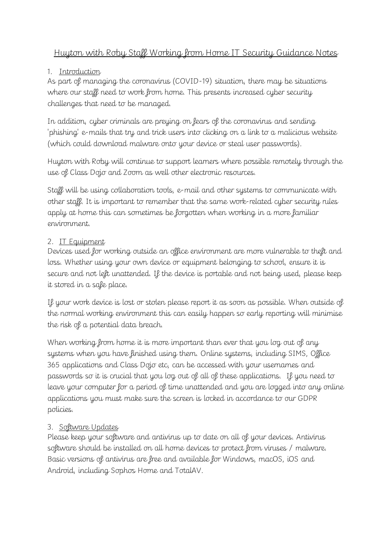# Huyton with Roby Staff Working from Home IT Security Guidance Notes

## 1. Introduction

As part of managing the coronavirus (COVID-19) situation, there may be situations where our staff need to work from home. This presents increased cyber security challenges that need to be managed.

In addition, cyber criminals are [preying on fears of the coronavirus](https://www.bbc.co.uk/news/technology-51838468) and sending 'phishing' e-mails that try and trick users into clicking on a link to a malicious website (which could download malware onto your device or steal user passwords).

Huyton with Roby will continue to support learners where possible remotely through the use of Class Dojo and Zoom as well other electronic resources.

Staff will be using collaboration tools, e-mail and other systems to communicate with other staff. It is important to remember that the same work-related cyber security rules apply at home this can sometimes be forgotten when working in a more familiar environment.

# 2. IT Equipment

Devices used for working outside an office environment are more vulnerable to theft and loss. Whether using your own device or equipment belonging to school, ensure it is secure and not left unattended. If the device is portable and not being used, please keep it stored in a safe place.

If your work device is lost or stolen please report it as soon as possible. When outside of the normal working environment this can easily happen so early reporting will minimise the risk of a potential data breach.

When working from home it is more important than ever that you log out of any systems when you have finished using them. Online systems, including SIMS, Office 365 applications and Class Dojo etc, can be accessed with your usernames and passwords so it is crucial that you log out of all of these applications. If you need to leave your computer for a period of time unattended and you are logged into any online applications you must make sure the screen is locked in accordance to our GDPR policies.

# 3. Software Updates

Please keep your software and antivirus up to date on all of your devices. Antivirus software should be installed on all home devices to protect from viruses / malware. Basic versions of antivirus are free and available for Windows, macOS, iOS and Android, including Sophos Home and TotalAV.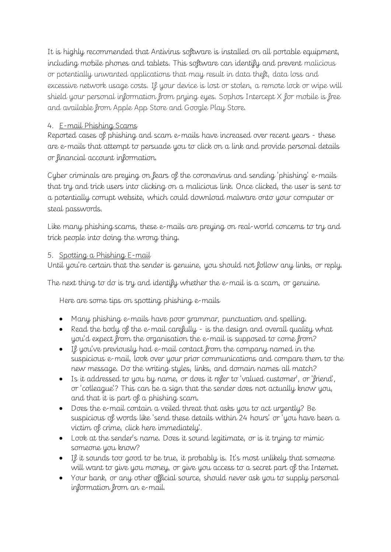It is highly recommended that Antivirus software is installed on all portable equipment, including mobile phones and tablets. This software can identify and prevent malicious or potentially unwanted applications that may result in data theft, data loss and excessive network usage costs. If your device is lost or stolen, a remote lock or wipe will shield your personal information from prying eyes. Sophos Intercept X for mobile is free and available from Apple App Store and Google Play Store.

## 4. E-mail Phishing Scams

Reported cases of phishing and scam e-mails have increased over recent years - these are e-mails that attempt to persuade you to click on a link and provide personal details or financial account information.

Cyber criminals are [preying on fears of the coronavirus](https://www.bbc.co.uk/news/technology-51838468) and sending 'phishing' e-mails that try and trick users into clicking on a malicious link. Once clicked, the user is sent to a potentially corrupt website, which could download malware onto your computer or steal passwords.

Like many phishing scams, these e-mails are preying on real-world concerns to try and trick people into doing the wrong thing.

## 5. Spotting a Phishing E-mail

Until you're certain that the sender is genuine, you should not follow any links, or reply.

The next thing to do is try and identify whether the e-mail is a scam, or genuine.

Here are some tips on spotting phishing e-mails

- Many phishing e-mails have poor grammar, punctuation and spelling.
- Read the body of the e-mail carefully is the design and overall quality what you'd expect from the organisation the e-mail is supposed to come from?
- If you've previously had e-mail contact from the company named in the suspicious e-mail, look over your prior communications and compare them to the new message. Do the writing styles, links, and domain names all match?
- Is it addressed to you by name, or does it refer to 'valued customer', or 'friend', or 'colleague'? This can be a sign that the sender does not actually know you, and that it is part of a phishing scam.
- Does the e-mail contain a veiled threat that asks you to act urgently? Be suspicious of words like 'send these details within 24 hours' or 'you have been a victim of crime, click here immediately'.
- Look at the sender's name. Does it sound legitimate, or is it trying to mimic someone you know?
- If it sounds too good to be true, it probably is. It's most unlikely that someone will want to give you money, or give you access to a secret part of the Internet.
- Your bank, or any other official source, should never ask you to supply personal information from an e-mail.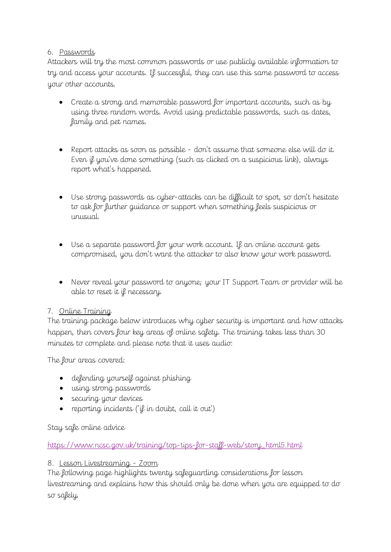#### 6. Passwords

Attackers will try the most common passwords or use publicly available information to try and access your accounts. If successful, they can use this same password to access your other accounts.

- Create a strong and memorable password for important accounts, such as by using three random words. Avoid using predictable passwords, such as dates, family and pet names.
- Report attacks as soon as possible don't assume that someone else will do it. Even if you've done something (such as clicked on a suspicious link), always report what's happened.
- Use strong passwords as cyber-attacks can be difficult to spot, so don't hesitate to ask for further guidance or support when something feels suspicious or unusual.
- Use a separate password for your work account. If an online account gets compromised, you don't want the attacker to also know your work password.
- Never reveal your password to anyone; your IT Support Team or provider will be able to reset it if necessary.

## 7. Online Training

The training package below introduces why cyber security is important and how attacks happen, then covers four key areas of online safety. The training takes less than 30 minutes to complete and please note that it uses audio:

The four areas covered:

- defending yourself against phishing
- using strong passwords
- securing your devices
- reporting incidents ('if in doubt, call it out')

Stay safe online advice

[https://www.ncsc.gov.uk/training/top-tips-for-staff-web/story\\_html5.html](https://www.ncsc.gov.uk/training/top-tips-for-staff-web/story_html5.html)

## 8. Lesson Livestreaming - Zoom

The following page highlights twenty safeguarding considerations for lesson livestreaming and explains how this should only be done when you are equipped to do so safely.